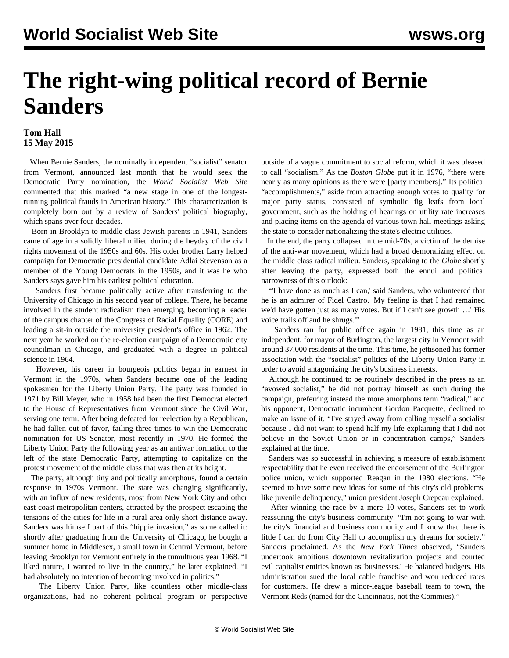## **The right-wing political record of Bernie Sanders**

## **Tom Hall 15 May 2015**

 When Bernie Sanders, the nominally independent "socialist" senator from Vermont, announced last month that he would seek the Democratic Party nomination, the *World Socialist Web Site* [commented](/en/articles/2015/05/01/sand-m01.html) that this marked "a new stage in one of the longestrunning political frauds in American history." This characterization is completely born out by a review of Sanders' political biography, which spans over four decades.

 Born in Brooklyn to middle-class Jewish parents in 1941, Sanders came of age in a solidly liberal milieu during the heyday of the civil rights movement of the 1950s and 60s. His older brother Larry helped campaign for Democratic presidential candidate Adlai Stevenson as a member of the Young Democrats in the 1950s, and it was he who Sanders says gave him his earliest political education.

 Sanders first became politically active after transferring to the University of Chicago in his second year of college. There, he became involved in the student radicalism then emerging, becoming a leader of the campus chapter of the Congress of Racial Equality (CORE) and leading a sit-in outside the university president's office in 1962. The next year he worked on the re-election campaign of a Democratic city councilman in Chicago, and graduated with a degree in political science in 1964.

 However, his career in bourgeois politics began in earnest in Vermont in the 1970s, when Sanders became one of the leading spokesmen for the Liberty Union Party. The party was founded in 1971 by Bill Meyer, who in 1958 had been the first Democrat elected to the House of Representatives from Vermont since the Civil War, serving one term. After being defeated for reelection by a Republican, he had fallen out of favor, failing three times to win the Democratic nomination for US Senator, most recently in 1970. He formed the Liberty Union Party the following year as an antiwar formation to the left of the state Democratic Party, attempting to capitalize on the protest movement of the middle class that was then at its height.

 The party, although tiny and politically amorphous, found a certain response in 1970s Vermont. The state was changing significantly, with an influx of new residents, most from New York City and other east coast metropolitan centers, attracted by the prospect escaping the tensions of the cities for life in a rural area only short distance away. Sanders was himself part of this "hippie invasion," as some called it: shortly after graduating from the University of Chicago, he bought a summer home in Middlesex, a small town in Central Vermont, before leaving Brooklyn for Vermont entirely in the tumultuous year 1968. "I liked nature, I wanted to live in the country," he later explained. "I had absolutely no intention of becoming involved in politics."

 The Liberty Union Party, like countless other middle-class organizations, had no coherent political program or perspective outside of a vague commitment to social reform, which it was pleased to call "socialism." As the *Boston Globe* put it in 1976, "there were nearly as many opinions as there were [party members]." Its political "accomplishments," aside from attracting enough votes to quality for major party status, consisted of symbolic fig leafs from local government, such as the holding of hearings on utility rate increases and placing items on the agenda of various town hall meetings asking the state to consider nationalizing the state's electric utilities.

 In the end, the party collapsed in the mid-70s, a victim of the demise of the anti-war movement, which had a broad demoralizing effect on the middle class radical milieu. Sanders, speaking to the *Globe* shortly after leaving the party, expressed both the ennui and political narrowness of this outlook:

 "'I have done as much as I can,' said Sanders, who volunteered that he is an admirer of Fidel Castro. 'My feeling is that I had remained we'd have gotten just as many votes. But if I can't see growth …' His voice trails off and he shrugs.'"

 Sanders ran for public office again in 1981, this time as an independent, for mayor of Burlington, the largest city in Vermont with around 37,000 residents at the time. This time, he jettisoned his former association with the "socialist" politics of the Liberty Union Party in order to avoid antagonizing the city's business interests.

 Although he continued to be routinely described in the press as an "avowed socialist," he did not portray himself as such during the campaign, preferring instead the more amorphous term "radical," and his opponent, Democratic incumbent Gordon Pacquette, declined to make an issue of it. "I've stayed away from calling myself a socialist because I did not want to spend half my life explaining that I did not believe in the Soviet Union or in concentration camps," Sanders explained at the time.

 Sanders was so successful in achieving a measure of establishment respectability that he even received the endorsement of the Burlington police union, which supported Reagan in the 1980 elections. "He seemed to have some new ideas for some of this city's old problems, like juvenile delinquency," union president Joseph Crepeau explained.

 After winning the race by a mere 10 votes, Sanders set to work reassuring the city's business community. "I'm not going to war with the city's financial and business community and I know that there is little I can do from City Hall to accomplish my dreams for society," Sanders proclaimed. As the *New York Times* observed, "Sanders undertook ambitious downtown revitalization projects and courted evil capitalist entities known as 'businesses.' He balanced budgets. His administration sued the local cable franchise and won reduced rates for customers. He drew a minor-league baseball team to town, the Vermont Reds (named for the Cincinnatis, not the Commies)."